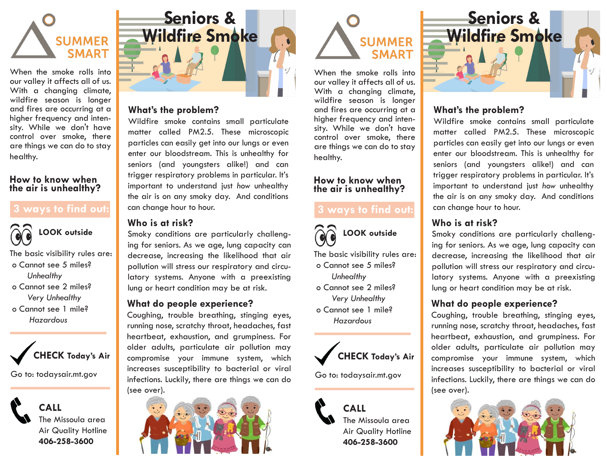

When the smoke rolls into our valley it affects all of us. With a changing climate, wildfire season is longer and fires are occurring at a higher frequency and intensity. While we don't have control over smoke, there are things we can do to stay healthy.

#### **How to know when the air is unhealthy?**

### **3 ways to find out:**



The basic visibility rules are: o Cannot see 5 miles? *Unhealthy*  o Cannot see 2 miles?

 *Very Unhealthy*  o Cannot see 1 mile?  *Hazardous*



Go to: todaysair.mt.gov

**CALL** The Missoula area Air Quality Hotline **406-258-3600**



#### **What's the problem?**

Wildfire smoke contains small particulate matter called PM2.5. These microscopic particles can easily get into our lungs or even enter our bloodstream. This is unhealthy for seniors (and youngsters alike!) and can trigger respiratory problems in particular. It's important to understand just *how* unhealthy the air is on any smoky day. And conditions can change hour to hour.

#### **Who is at risk?**

Smoky conditions are particularly challenging for seniors. As we age, lung capacity can decrease, increasing the likelihood that air pollution will stress our respiratory and circulatory systems. Anyone with a preexisting lung or heart condition may be at risk.

### **What do people experience?**

Coughing, trouble breathing, stinging eyes, running nose, scratchy throat, headaches, fast heartbeat, exhaustion, and grumpiness. For older adults, particulate air pollution may compromise your immune system, which increases susceptibility to bacterial or viral infections. Luckily, there are things we can do (see over).





When the smoke rolls into our valley it affects all of us. With a changing climate, wildfire season is longer and fires are occurring at a higher frequency and intensity. While we don't have control over smoke, there are things we can do to stay healthy.

#### **How to know when the air is unhealthy?**

# **3 ways to find out:**



The basic visibility rules are: o Cannot see 5 miles? *Unhealthy* 

- o Cannot see 2 miles? *Very Unhealthy*
- o Cannot see 1 mile?  *Hazardous*



Go to: todaysair.mt.gov





## **What's the problem?**

Wildfire smoke contains small particulate matter called PM2.5. These microscopic particles can easily get into our lungs or even enter our bloodstream. This is unhealthy for seniors (and youngsters alike!) and can trigger respiratory problems in particular. It's important to understand just *how* unhealthy the air is on any smoky day. And conditions can change hour to hour.

## **Who is at risk?**

Smoky conditions are particularly challenging for seniors. As we age, lung capacity can decrease, increasing the likelihood that air pollution will stress our respiratory and circulatory systems. Anyone with a preexisting lung or heart condition may be at risk.

### **What do people experience?**

Coughing, trouble breathing, stinging eyes, running nose, scratchy throat, headaches, fast heartbeat, exhaustion, and grumpiness. For older adults, particulate air pollution may compromise your immune system, which increases susceptibility to bacterial or viral infections. Luckily, there are things we can do (see over).